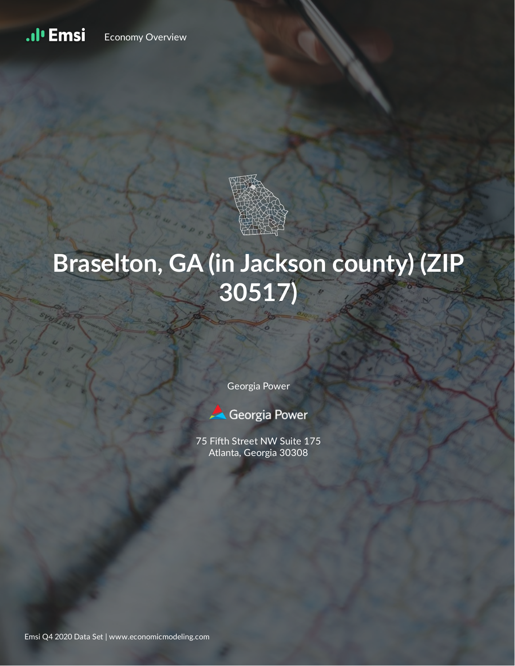#### .ıl<sup>ı</sup> Emsi Economy Overview



# **Braselton, GA (in Jackson county) (ZIP 30517)**

Georgia Power



75 Fifth Street NW Suite 175 Atlanta, Georgia 30308

Emsi Q4 2020 Data Set | www.economicmodeling.com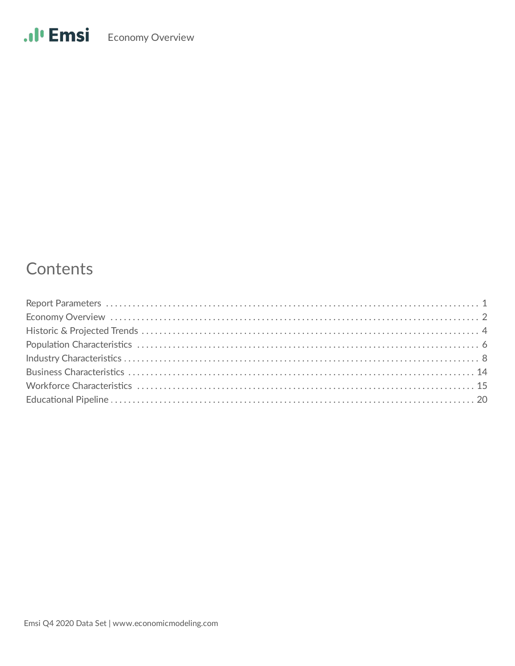### Contents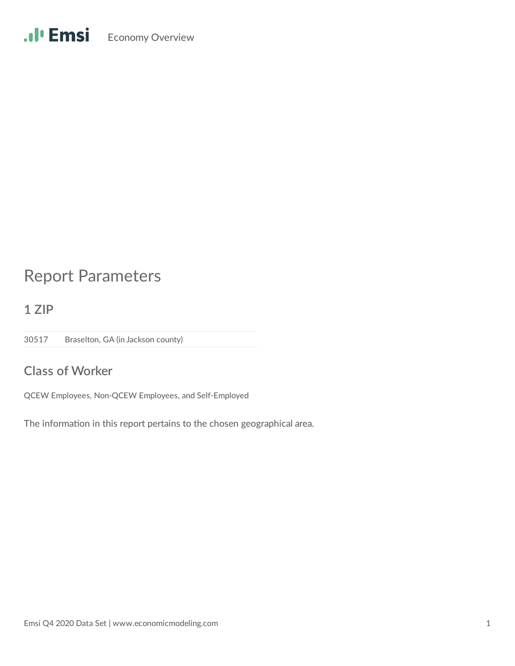## Report Parameters

**1 ZIP**

30517 Braselton, GA (in Jackson county)

### **Class of Worker**

QCEW Employees, Non-QCEW Employees, and Self-Employed

The information in this report pertains to the chosen geographical area.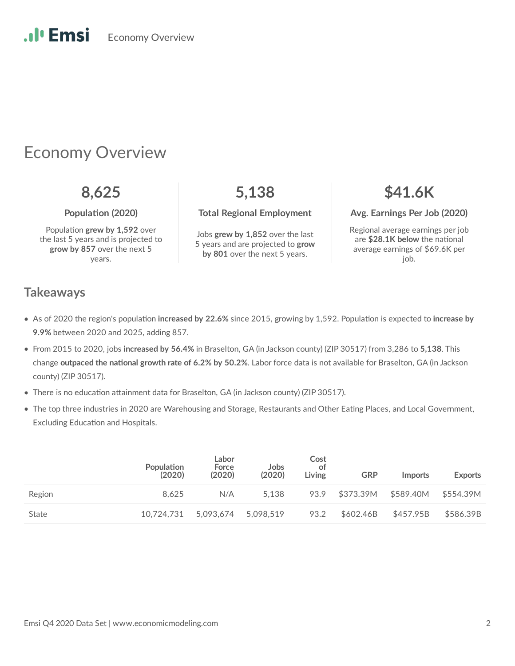### Economy Overview

Population grew by 1,592 over the last 5 years and is projected to **grow by 857** over the next 5 years.

Jobs **grew by 1,852** over the last 5 years and are projected to **grow by 801** over the next 5 years.

### **8,625 5,138 \$41.6K**

**Population (2020)** Total Regional Employment Avg. Earnings Per Job (2020)

Regional average earnings per job are \$28.1K below the national average earnings of \$69.6K per job.

### **Takeaways**

- As of 2020 the region's population increased by 22.6% since 2015, growing by 1,592. Population is expected to increase by **9.9%** between 2020 and 2025, adding 857.
- From 2015 to 2020, jobs **increased by 56.4%** in Braselton, GA (in Jackson county) (ZIP 30517) from 3,286 to **5,138**. This change **outpaced the national growth rate of 6.2% by 50.2%**. Labor force data is not available for Braselton, GA (in Jackson county) (ZIP 30517).
- $\bullet$  There is no education attainment data for Braselton, GA (in Jackson county) (ZIP 30517).
- The top three industries in 2020 are Warehousing and Storage, Restaurants and Other Eating Places, and Local Government, Excluding Education and Hospitals.

|        | <b>Population</b><br>(2020) | Labor<br>Force<br>(2020) | Jobs<br>(2020) | Cost<br>ot<br>Living | <b>GRP</b> | <i>Imports</i> | <b>Exports</b> |
|--------|-----------------------------|--------------------------|----------------|----------------------|------------|----------------|----------------|
| Region | 8.625                       | N/A                      | 5.138          | 93.9                 | \$373.39M  | \$589.40M      | \$554.39M      |
| State  | 10.724.731                  | 5.093.674                | 5.098.519      | 93.2                 | \$602.46B  | \$457.95B      | \$586.39B      |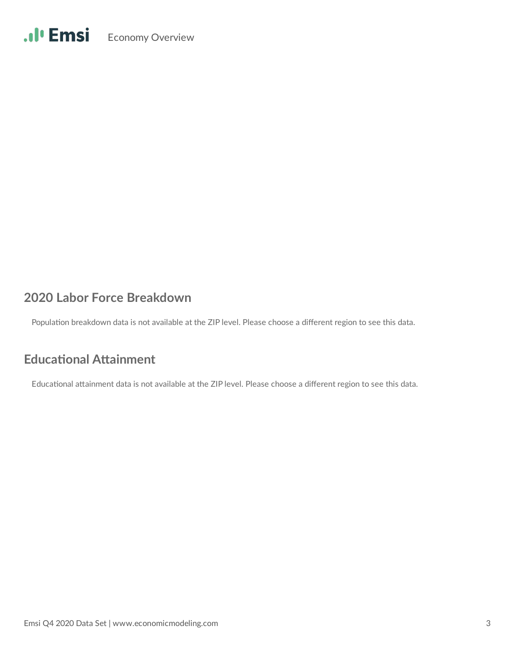### **2020 Labor Force Breakdown**

Population breakdown data is not available at the ZIP level. Please choose a different region to see this data.

### **Educational Attainment**

Educational attainment data is not available at the ZIP level. Please choose a different region to see this data.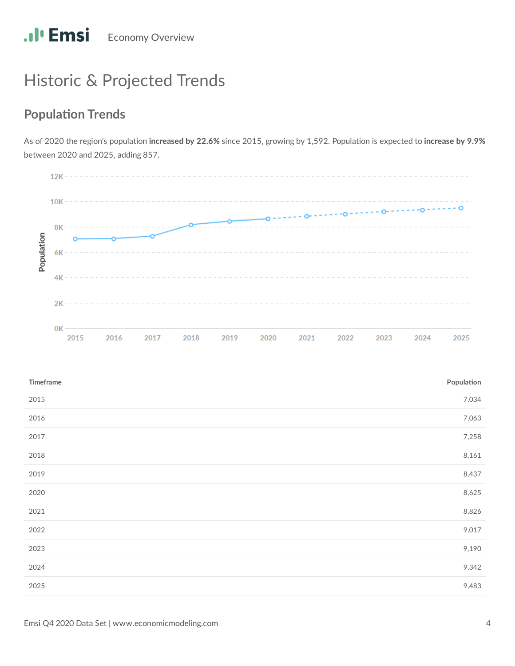## Historic & Projected Trends

### **Population Trends**

As of 2020 the region's population increased by 22.6% since 2015, growing by 1,592. Population is expected to increase by 9.9% between 2020 and 2025, adding 857.



| Timeframe | Population |
|-----------|------------|
| 2015      | 7,034      |
| 2016      | 7,063      |
| 2017      | 7,258      |
| 2018      | 8,161      |
| 2019      | 8,437      |
| 2020      | 8,625      |
| 2021      | 8,826      |
| 2022      | 9,017      |
| 2023      | 9,190      |
| 2024      | 9,342      |
| 2025      | 9,483      |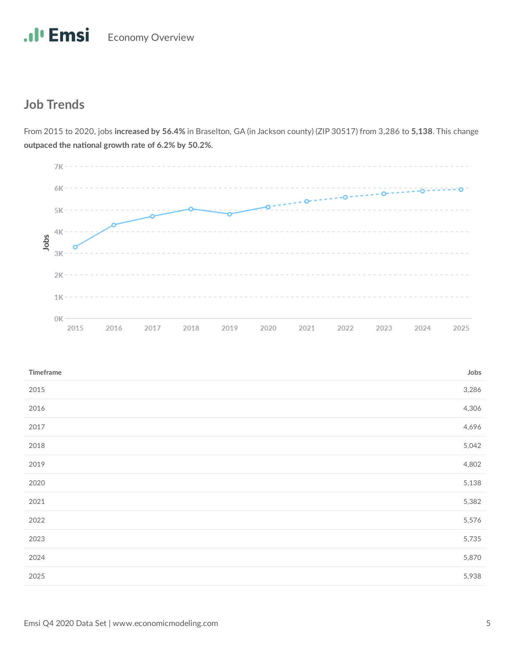### **Job Trends**



From 2015 to 2020, jobs **increased by 56.4%** in Braselton, GA (in Jackson county) (ZIP 30517) from 3,286 to **5,138**. This change outpaced the national growth rate of 6.2% by 50.2%.

| Timeframe | Jobs  |
|-----------|-------|
| 2015      | 3,286 |
| 2016      | 4,306 |
| 2017      | 4,696 |
| 2018      | 5,042 |
| 2019      | 4,802 |
| 2020      | 5,138 |
| 2021      | 5,382 |
| 2022      | 5,576 |
| 2023      | 5,735 |
| 2024      | 5,870 |
| 2025      | 5,938 |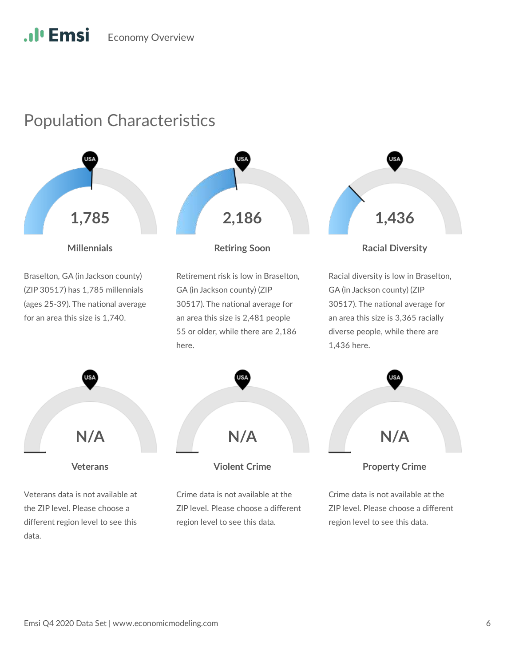### Population Characteristics

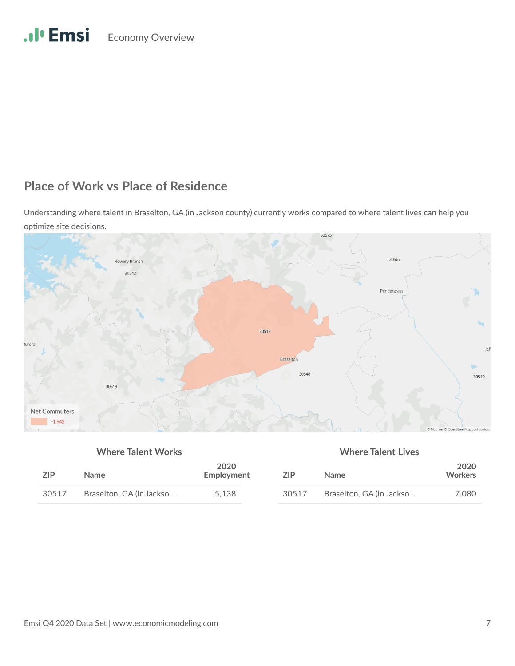### **Place of Work vs Place of Residence**

Understanding where talent in Braselton, GA (in Jackson county) currently works compared to where talent lives can help you optimize site decisions.



### **Where Talent Works Where Talent Lives**

| <b>ZIP</b> | <b>Name</b>              | 2020<br>Employment | 7IP   | Name                     |       |
|------------|--------------------------|--------------------|-------|--------------------------|-------|
| 30517      | Braselton, GA (in Jackso | 5.138              | 30517 | Braselton, GA (in Jackso | 7.080 |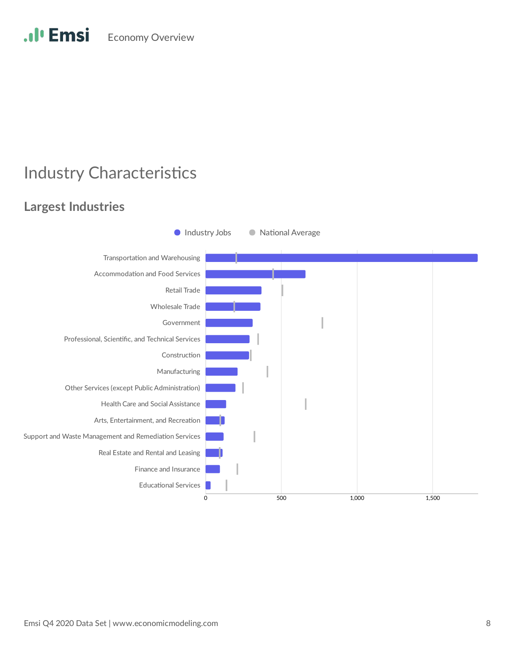### **Industry Characteristics**

### **Largest Industries**

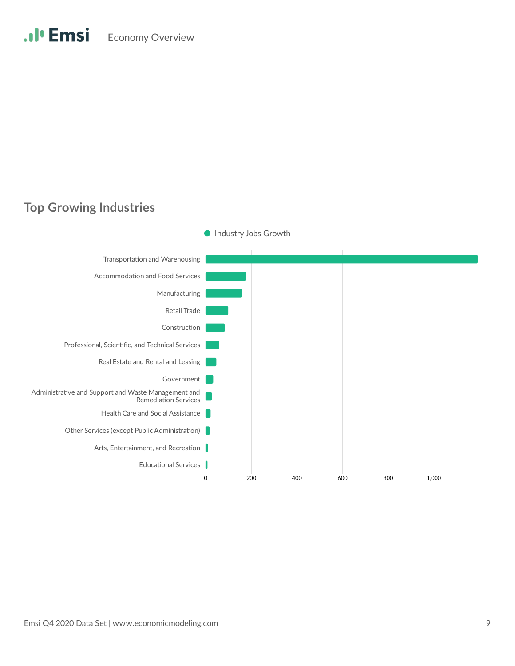### **Top Growing Industries**

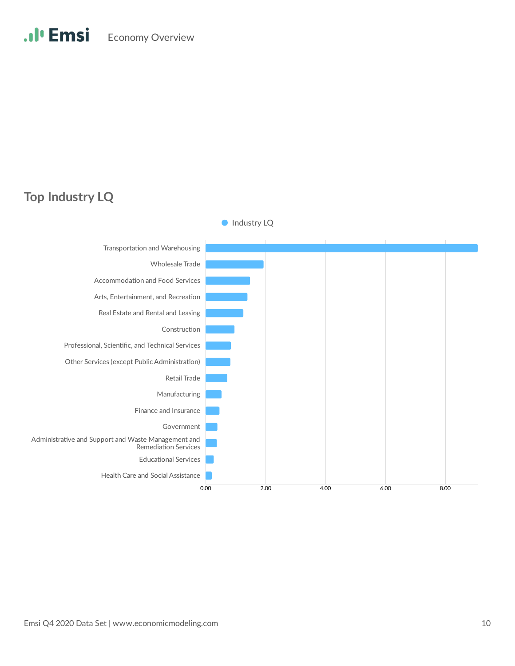### **Top Industry LQ**

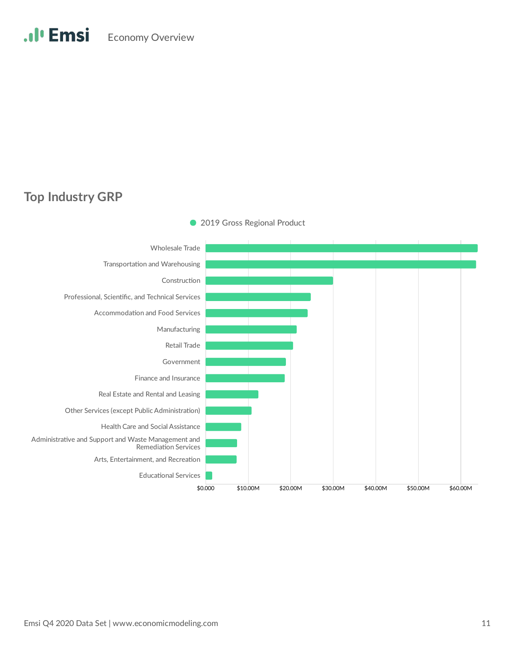### **Top Industry GRP**

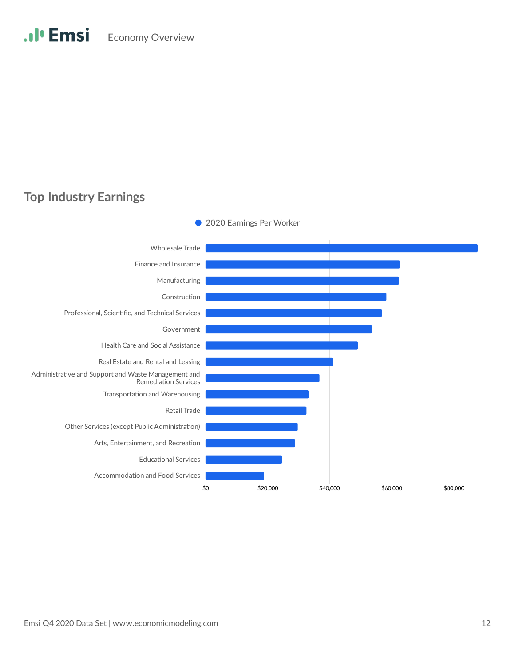### **Top Industry Earnings**

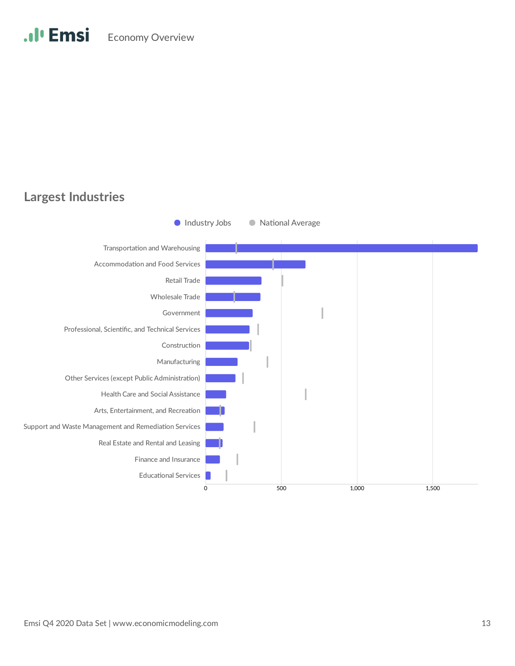### **Largest Industries**

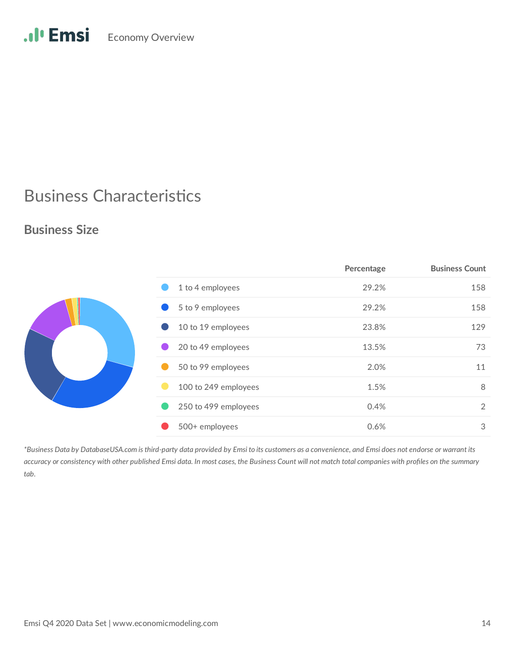## .Il<sup>.</sup> Emsi Economy Overview

### **Business Characteristics**

### **Business Size**

|                      | Percentage | <b>Business Count</b> |
|----------------------|------------|-----------------------|
| 1 to 4 employees     | 29.2%      | 158                   |
| 5 to 9 employees     | 29.2%      | 158                   |
| 10 to 19 employees   | 23.8%      | 129                   |
| 20 to 49 employees   | 13.5%      | 73                    |
| 50 to 99 employees   | 2.0%       | 11                    |
| 100 to 249 employees | 1.5%       | 8                     |
| 250 to 499 employees | 0.4%       | 2                     |
| 500+ employees       | 0.6%       | 3                     |

*\*Business Data by DatabaseUSA.com is third-party data provided by Emsi to its customers as a convenience, and Emsi does not endorse or warrant its accuracy or consistency with other published Emsi data. In most cases, the Business Count will not match total companies with profiles on the summary tab.*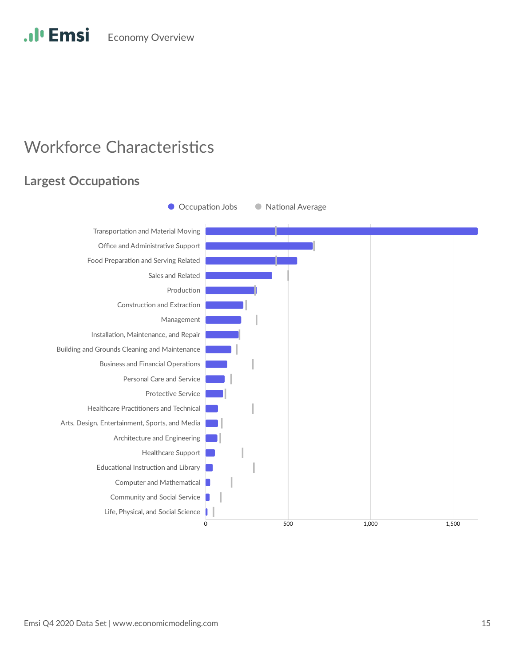### **Workforce Characteristics**

### **Largest Occupations**

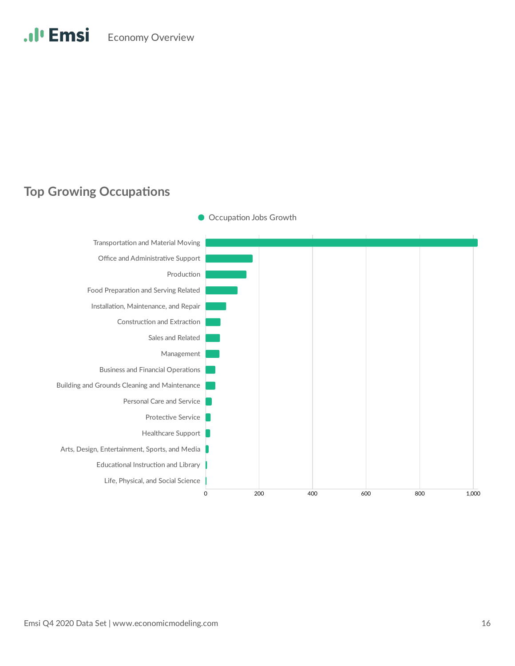### **Top Growing Occupations**



Occupation Jobs Growth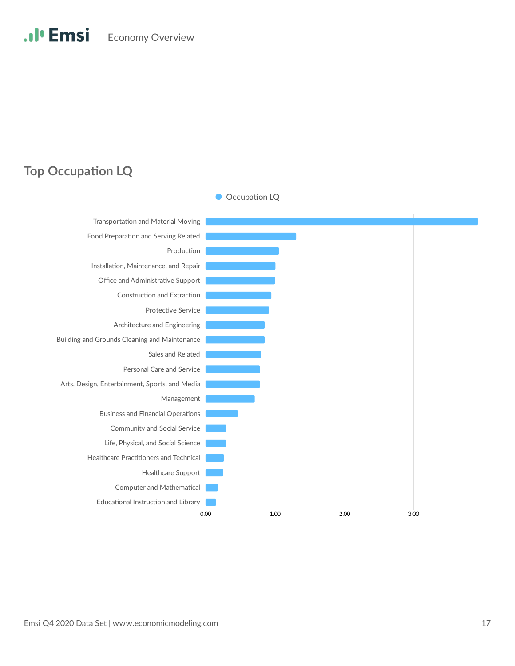### **Top Occupation LQ**

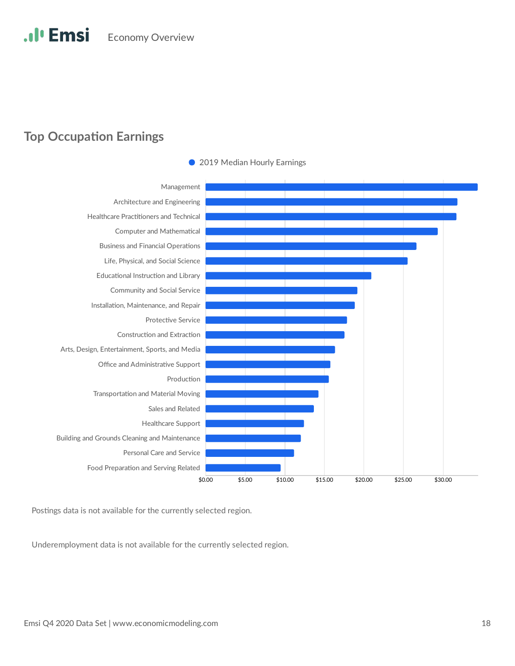### **Top Occupation Earnings**



• 2019 Median Hourly Earnings

Postings data is not available for the currently selected region.

Underemployment data is not available for the currently selected region.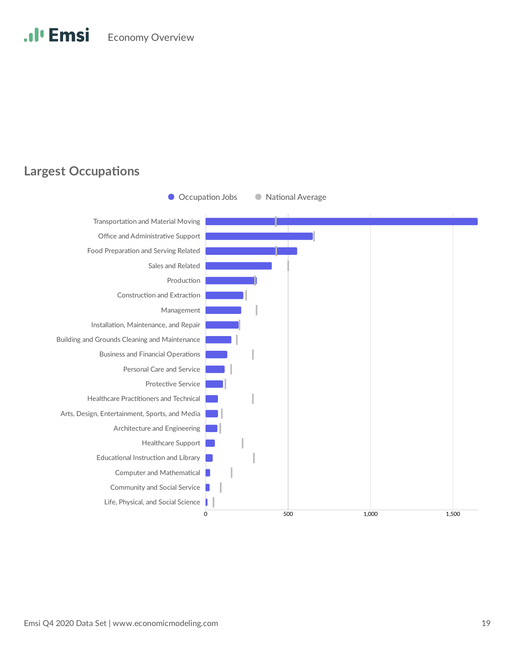### **Largest Occupations**